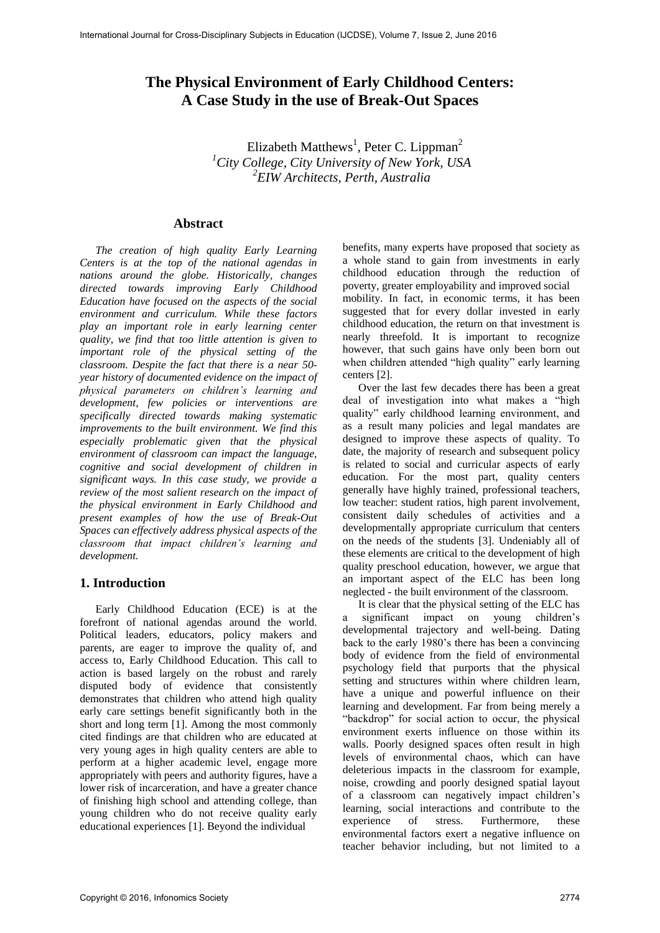# **The Physical Environment of Early Childhood Centers: A Case Study in the use of Break-Out Spaces**

Elizabeth Matthews<sup>1</sup>, Peter C. Lippman<sup>2</sup> *<sup>1</sup>City College, City University of New York, USA 2 EIW Architects, Perth, Australia* 

#### **Abstract**

*The creation of high quality Early Learning Centers is at the top of the national agendas in nations around the globe. Historically, changes directed towards improving Early Childhood Education have focused on the aspects of the social environment and curriculum. While these factors play an important role in early learning center quality, we find that too little attention is given to important role of the physical setting of the classroom. Despite the fact that there is a near 50 year history of documented evidence on the impact of physical parameters on children's learning and development, few policies or interventions are specifically directed towards making systematic improvements to the built environment. We find this especially problematic given that the physical environment of classroom can impact the language, cognitive and social development of children in significant ways. In this case study, we provide a review of the most salient research on the impact of the physical environment in Early Childhood and present examples of how the use of Break-Out Spaces can effectively address physical aspects of the classroom that impact children's learning and development.* 

#### **1. Introduction**

Early Childhood Education (ECE) is at the forefront of national agendas around the world. Political leaders, educators, policy makers and parents, are eager to improve the quality of, and access to, Early Childhood Education. This call to action is based largely on the robust and rarely disputed body of evidence that consistently demonstrates that children who attend high quality early care settings benefit significantly both in the short and long term [1]. Among the most commonly cited findings are that children who are educated at very young ages in high quality centers are able to perform at a higher academic level, engage more appropriately with peers and authority figures, have a lower risk of incarceration, and have a greater chance of finishing high school and attending college, than young children who do not receive quality early educational experiences [1]. Beyond the individual

benefits, many experts have proposed that society as a whole stand to gain from investments in early childhood education through the reduction of poverty, greater employability and improved social mobility. In fact, in economic terms, it has been suggested that for every dollar invested in early childhood education, the return on that investment is nearly threefold. It is important to recognize however, that such gains have only been born out when children attended "high quality" early learning centers [2].

Over the last few decades there has been a great deal of investigation into what makes a "high quality" early childhood learning environment, and as a result many policies and legal mandates are designed to improve these aspects of quality. To date, the majority of research and subsequent policy is related to social and curricular aspects of early education. For the most part, quality centers generally have highly trained, professional teachers, low teacher: student ratios, high parent involvement, consistent daily schedules of activities and a developmentally appropriate curriculum that centers on the needs of the students [3]. Undeniably all of these elements are critical to the development of high quality preschool education, however, we argue that an important aspect of the ELC has been long neglected - the built environment of the classroom.

It is clear that the physical setting of the ELC has<br>significant impact on young children's a significant impact on young developmental trajectory and well-being. Dating back to the early 1980's there has been a convincing body of evidence from the field of environmental psychology field that purports that the physical setting and structures within where children learn, have a unique and powerful influence on their learning and development. Far from being merely a "backdrop" for social action to occur, the physical environment exerts influence on those within its walls. Poorly designed spaces often result in high levels of environmental chaos, which can have deleterious impacts in the classroom for example, noise, crowding and poorly designed spatial layout of a classroom can negatively impact children's learning, social interactions and contribute to the experience of stress. Furthermore, these environmental factors exert a negative influence on teacher behavior including, but not limited to a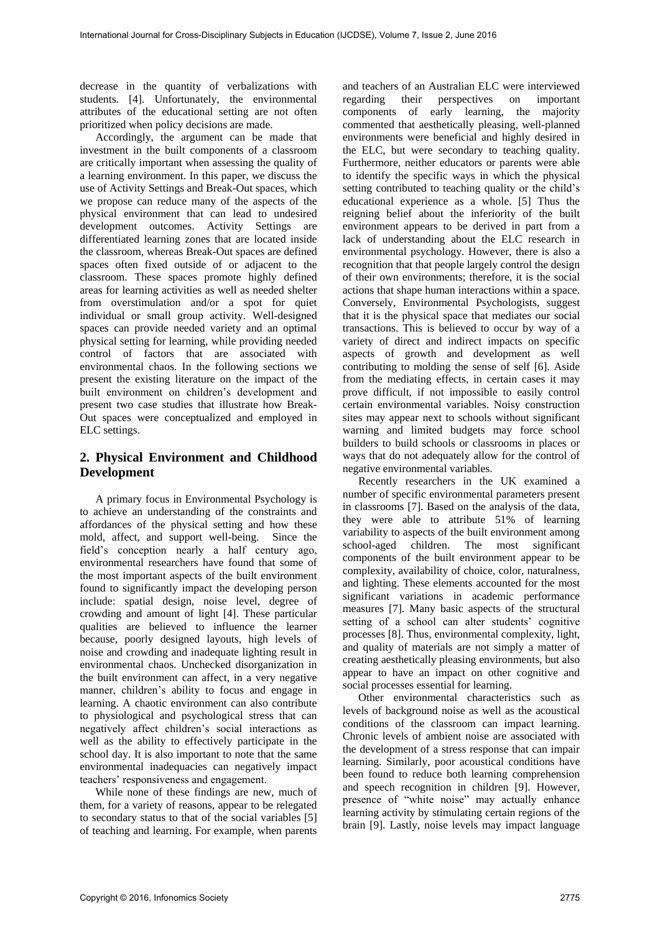decrease in the quantity of verbalizations with students. [4]. Unfortunately, the environmental attributes of the educational setting are not often prioritized when policy decisions are made.

Accordingly, the argument can be made that investment in the built components of a classroom are critically important when assessing the quality of a learning environment. In this paper, we discuss the use of Activity Settings and Break-Out spaces, which we propose can reduce many of the aspects of the physical environment that can lead to undesired development outcomes. Activity Settings are differentiated learning zones that are located inside the classroom, whereas Break-Out spaces are defined spaces often fixed outside of or adjacent to the classroom. These spaces promote highly defined areas for learning activities as well as needed shelter from overstimulation and/or a spot for quiet individual or small group activity. Well-designed spaces can provide needed variety and an optimal physical setting for learning, while providing needed control of factors that are associated with environmental chaos. In the following sections we present the existing literature on the impact of the built environment on children's development and present two case studies that illustrate how Break-Out spaces were conceptualized and employed in ELC settings.

## **2. Physical Environment and Childhood Development**

A primary focus in Environmental Psychology is to achieve an understanding of the constraints and affordances of the physical setting and how these mold, affect, and support well-being. Since the field's conception nearly a half century ago, environmental researchers have found that some of the most important aspects of the built environment found to significantly impact the developing person include: spatial design, noise level, degree of crowding and amount of light [4]. These particular qualities are believed to influence the learner because, poorly designed layouts, high levels of noise and crowding and inadequate lighting result in environmental chaos. Unchecked disorganization in the built environment can affect, in a very negative manner, children's ability to focus and engage in learning. A chaotic environment can also contribute to physiological and psychological stress that can negatively affect children's social interactions as well as the ability to effectively participate in the school day. It is also important to note that the same environmental inadequacies can negatively impact teachers' responsiveness and engagement.

While none of these findings are new, much of them, for a variety of reasons, appear to be relegated to secondary status to that of the social variables [5] of teaching and learning. For example, when parents

and teachers of an Australian ELC were interviewed regarding their perspectives on important components of early learning, the majority commented that aesthetically pleasing, well-planned environments were beneficial and highly desired in the ELC, but were secondary to teaching quality. Furthermore, neither educators or parents were able to identify the specific ways in which the physical setting contributed to teaching quality or the child's educational experience as a whole. [5] Thus the reigning belief about the inferiority of the built environment appears to be derived in part from a lack of understanding about the ELC research in environmental psychology. However, there is also a recognition that that people largely control the design of their own environments; therefore, it is the social actions that shape human interactions within a space. Conversely, Environmental Psychologists, suggest that it is the physical space that mediates our social transactions. This is believed to occur by way of a variety of direct and indirect impacts on specific aspects of growth and development as well contributing to molding the sense of self [6]. Aside from the mediating effects, in certain cases it may prove difficult, if not impossible to easily control certain environmental variables. Noisy construction sites may appear next to schools without significant warning and limited budgets may force school builders to build schools or classrooms in places or ways that do not adequately allow for the control of negative environmental variables.

Recently researchers in the UK examined a number of specific environmental parameters present in classrooms [7]. Based on the analysis of the data, they were able to attribute 51% of learning variability to aspects of the built environment among school-aged children. The most significant components of the built environment appear to be complexity, availability of choice, color, naturalness, and lighting. These elements accounted for the most significant variations in academic performance measures [7]. Many basic aspects of the structural setting of a school can alter students' cognitive processes [8]. Thus, environmental complexity, light, and quality of materials are not simply a matter of creating aesthetically pleasing environments, but also appear to have an impact on other cognitive and social processes essential for learning.

Other environmental characteristics such as levels of background noise as well as the acoustical conditions of the classroom can impact learning. Chronic levels of ambient noise are associated with the development of a stress response that can impair learning. Similarly, poor acoustical conditions have been found to reduce both learning comprehension and speech recognition in children [9]. However, presence of "white noise" may actually enhance learning activity by stimulating certain regions of the brain [9]. Lastly, noise levels may impact language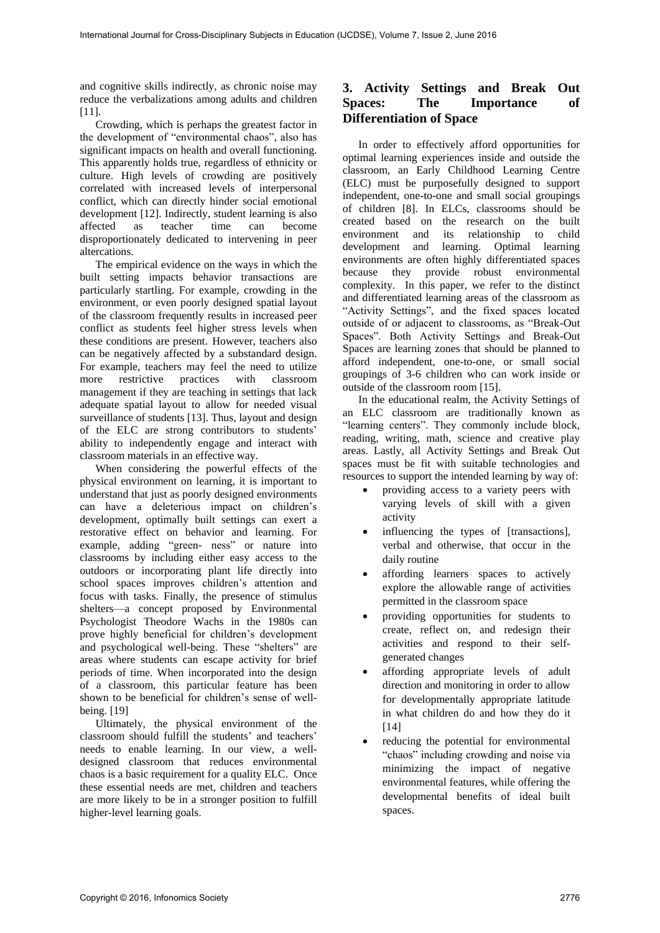and cognitive skills indirectly, as chronic noise may reduce the verbalizations among adults and children [11].

Crowding, which is perhaps the greatest factor in the development of "environmental chaos", also has significant impacts on health and overall functioning. This apparently holds true, regardless of ethnicity or culture. High levels of crowding are positively correlated with increased levels of interpersonal conflict, which can directly hinder social emotional development [12]. Indirectly, student learning is also affected as teacher time can become disproportionately dedicated to intervening in peer altercations.

The empirical evidence on the ways in which the built setting impacts behavior transactions are particularly startling. For example, crowding in the environment, or even poorly designed spatial layout of the classroom frequently results in increased peer conflict as students feel higher stress levels when these conditions are present. However, teachers also can be negatively affected by a substandard design. For example, teachers may feel the need to utilize more restrictive practices with classroom management if they are teaching in settings that lack adequate spatial layout to allow for needed visual surveillance of students [13]. Thus, layout and design of the ELC are strong contributors to students' ability to independently engage and interact with classroom materials in an effective way.

When considering the powerful effects of the physical environment on learning, it is important to understand that just as poorly designed environments can have a deleterious impact on children's development, optimally built settings can exert a restorative effect on behavior and learning. For example, adding "green- ness" or nature into classrooms by including either easy access to the outdoors or incorporating plant life directly into school spaces improves children's attention and focus with tasks. Finally, the presence of stimulus shelters—a concept proposed by Environmental Psychologist Theodore Wachs in the 1980s can prove highly beneficial for children's development and psychological well-being. These "shelters" are areas where students can escape activity for brief periods of time. When incorporated into the design of a classroom, this particular feature has been shown to be beneficial for children's sense of wellbeing. [19]

Ultimately, the physical environment of the classroom should fulfill the students' and teachers' needs to enable learning. In our view, a welldesigned classroom that reduces environmental chaos is a basic requirement for a quality ELC. Once these essential needs are met, children and teachers are more likely to be in a stronger position to fulfill higher-level learning goals.

## **3. Activity Settings and Break Out Spaces: The Importance of Differentiation of Space**

In order to effectively afford opportunities for optimal learning experiences inside and outside the classroom, an Early Childhood Learning Centre (ELC) must be purposefully designed to support independent, one-to-one and small social groupings of children [8]. In ELCs, classrooms should be created based on the research on the built environment and its relationship to child development and learning. Optimal learning environments are often highly differentiated spaces because they provide robust environmental complexity. In this paper, we refer to the distinct and differentiated learning areas of the classroom as "Activity Settings", and the fixed spaces located outside of or adjacent to classrooms, as "Break-Out Spaces". Both Activity Settings and Break-Out Spaces are learning zones that should be planned to afford independent, one-to-one, or small social groupings of 3-6 children who can work inside or outside of the classroom room [15].

In the educational realm, the Activity Settings of an ELC classroom are traditionally known as "learning centers". They commonly include block, reading, writing, math, science and creative play areas. Lastly, all Activity Settings and Break Out spaces must be fit with suitable technologies and resources to support the intended learning by way of:

- providing access to a variety peers with varying levels of skill with a given activity
- influencing the types of [transactions], verbal and otherwise, that occur in the daily routine
- affording learners spaces to actively explore the allowable range of activities permitted in the classroom space
- providing opportunities for students to create, reflect on, and redesign their activities and respond to their selfgenerated changes
- affording appropriate levels of adult direction and monitoring in order to allow for developmentally appropriate latitude in what children do and how they do it [14]
- reducing the potential for environmental "chaos" including crowding and noise via minimizing the impact of negative environmental features, while offering the developmental benefits of ideal built spaces.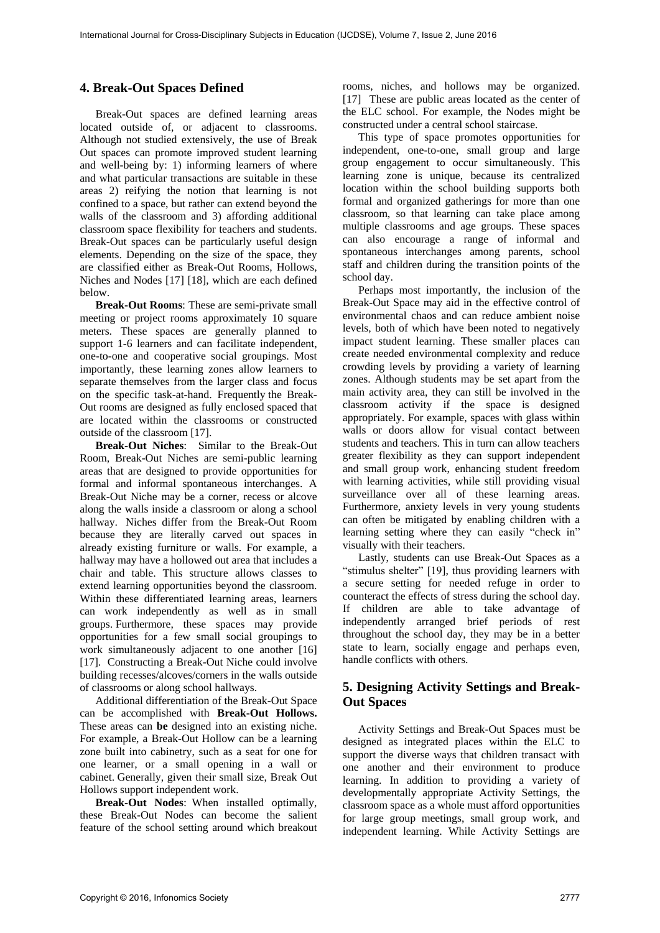#### **4. Break-Out Spaces Defined**

Break-Out spaces are defined learning areas located outside of, or adjacent to classrooms. Although not studied extensively, the use of Break Out spaces can promote improved student learning and well-being by: 1) informing learners of where and what particular transactions are suitable in these areas 2) reifying the notion that learning is not confined to a space, but rather can extend beyond the walls of the classroom and 3) affording additional classroom space flexibility for teachers and students. Break-Out spaces can be particularly useful design elements. Depending on the size of the space, they are classified either as Break-Out Rooms, Hollows, Niches and Nodes [17] [18], which are each defined below.

**Break-Out Rooms**: These are semi-private small meeting or project rooms approximately 10 square meters. These spaces are generally planned to support 1-6 learners and can facilitate independent, one-to-one and cooperative social groupings. Most importantly, these learning zones allow learners to separate themselves from the larger class and focus on the specific task-at-hand. Frequently the Break-Out rooms are designed as fully enclosed spaced that are located within the classrooms or constructed outside of the classroom [17].

**Break-Out Niches**: Similar to the Break-Out Room, Break-Out Niches are semi-public learning areas that are designed to provide opportunities for formal and informal spontaneous interchanges. A Break-Out Niche may be a corner, recess or alcove along the walls inside a classroom or along a school hallway. Niches differ from the Break-Out Room because they are literally carved out spaces in already existing furniture or walls. For example, a hallway may have a hollowed out area that includes a chair and table. This structure allows classes to extend learning opportunities beyond the classroom. Within these differentiated learning areas, learners can work independently as well as in small groups. Furthermore, these spaces may provide opportunities for a few small social groupings to work simultaneously adjacent to one another [16] [17]. Constructing a Break-Out Niche could involve building recesses/alcoves/corners in the walls outside of classrooms or along school hallways.

Additional differentiation of the Break-Out Space can be accomplished with **Break-Out Hollows.**  These areas can **be** designed into an existing niche. For example, a Break-Out Hollow can be a learning zone built into cabinetry, such as a seat for one for one learner, or a small opening in a wall or cabinet. Generally, given their small size, Break Out Hollows support independent work.

**Break-Out Nodes**: When installed optimally, these Break-Out Nodes can become the salient feature of the school setting around which breakout

rooms, niches, and hollows may be organized. [17] These are public areas located as the center of the ELC school. For example, the Nodes might be constructed under a central school staircase.

This type of space promotes opportunities for independent, one-to-one, small group and large group engagement to occur simultaneously. This learning zone is unique, because its centralized location within the school building supports both formal and organized gatherings for more than one classroom, so that learning can take place among multiple classrooms and age groups. These spaces can also encourage a range of informal and spontaneous interchanges among parents, school staff and children during the transition points of the school day.

Perhaps most importantly, the inclusion of the Break-Out Space may aid in the effective control of environmental chaos and can reduce ambient noise levels, both of which have been noted to negatively impact student learning. These smaller places can create needed environmental complexity and reduce crowding levels by providing a variety of learning zones. Although students may be set apart from the main activity area, they can still be involved in the classroom activity if the space is designed appropriately. For example, spaces with glass within walls or doors allow for visual contact between students and teachers. This in turn can allow teachers greater flexibility as they can support independent and small group work, enhancing student freedom with learning activities, while still providing visual surveillance over all of these learning areas. Furthermore, anxiety levels in very young students can often be mitigated by enabling children with a learning setting where they can easily "check in" visually with their teachers.

Lastly, students can use Break-Out Spaces as a "stimulus shelter" [19], thus providing learners with a secure setting for needed refuge in order to counteract the effects of stress during the school day. If children are able to take advantage of independently arranged brief periods of rest throughout the school day, they may be in a better state to learn, socially engage and perhaps even, handle conflicts with others.

## **5. Designing Activity Settings and Break-Out Spaces**

Activity Settings and Break-Out Spaces must be designed as integrated places within the ELC to support the diverse ways that children transact with one another and their environment to produce learning. In addition to providing a variety of developmentally appropriate Activity Settings, the classroom space as a whole must afford opportunities for large group meetings, small group work, and independent learning. While Activity Settings are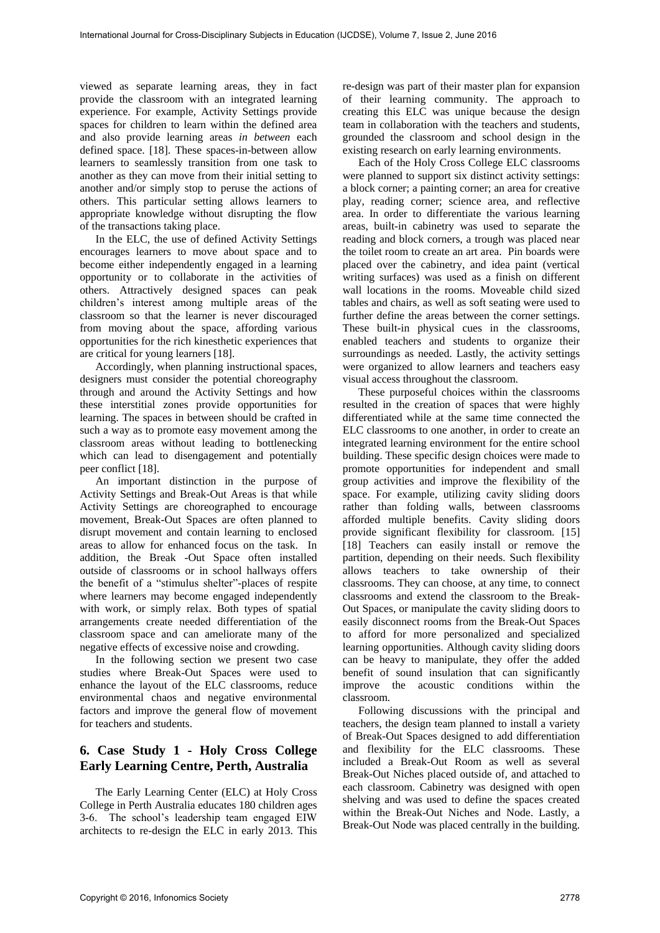viewed as separate learning areas, they in fact provide the classroom with an integrated learning experience. For example, Activity Settings provide spaces for children to learn within the defined area and also provide learning areas *in between* each defined space. [18]. These spaces-in-between allow learners to seamlessly transition from one task to another as they can move from their initial setting to another and/or simply stop to peruse the actions of others. This particular setting allows learners to appropriate knowledge without disrupting the flow of the transactions taking place.

In the ELC, the use of defined Activity Settings encourages learners to move about space and to become either independently engaged in a learning opportunity or to collaborate in the activities of others. Attractively designed spaces can peak children's interest among multiple areas of the classroom so that the learner is never discouraged from moving about the space, affording various opportunities for the rich kinesthetic experiences that are critical for young learners [18].

Accordingly, when planning instructional spaces, designers must consider the potential choreography through and around the Activity Settings and how these interstitial zones provide opportunities for learning. The spaces in between should be crafted in such a way as to promote easy movement among the classroom areas without leading to bottlenecking which can lead to disengagement and potentially peer conflict [18].

An important distinction in the purpose of Activity Settings and Break-Out Areas is that while Activity Settings are choreographed to encourage movement, Break-Out Spaces are often planned to disrupt movement and contain learning to enclosed areas to allow for enhanced focus on the task. In addition, the Break -Out Space often installed outside of classrooms or in school hallways offers the benefit of a "stimulus shelter"-places of respite where learners may become engaged independently with work, or simply relax. Both types of spatial arrangements create needed differentiation of the classroom space and can ameliorate many of the negative effects of excessive noise and crowding.

In the following section we present two case studies where Break-Out Spaces were used to enhance the layout of the ELC classrooms, reduce environmental chaos and negative environmental factors and improve the general flow of movement for teachers and students.

# **6. Case Study 1 - Holy Cross College Early Learning Centre, Perth, Australia**

The Early Learning Center (ELC) at Holy Cross College in Perth Australia educates 180 children ages 3-6. The school's leadership team engaged EIW architects to re-design the ELC in early 2013. This re-design was part of their master plan for expansion of their learning community. The approach to creating this ELC was unique because the design team in collaboration with the teachers and students, grounded the classroom and school design in the existing research on early learning environments.

Each of the Holy Cross College ELC classrooms were planned to support six distinct activity settings: a block corner; a painting corner; an area for creative play, reading corner; science area, and reflective area. In order to differentiate the various learning areas, built-in cabinetry was used to separate the reading and block corners, a trough was placed near the toilet room to create an art area. Pin boards were placed over the cabinetry, and idea paint (vertical writing surfaces) was used as a finish on different wall locations in the rooms. Moveable child sized tables and chairs, as well as soft seating were used to further define the areas between the corner settings. These built-in physical cues in the classrooms, enabled teachers and students to organize their surroundings as needed. Lastly, the activity settings were organized to allow learners and teachers easy visual access throughout the classroom.

These purposeful choices within the classrooms resulted in the creation of spaces that were highly differentiated while at the same time connected the ELC classrooms to one another, in order to create an integrated learning environment for the entire school building. These specific design choices were made to promote opportunities for independent and small group activities and improve the flexibility of the space. For example, utilizing cavity sliding doors rather than folding walls, between classrooms afforded multiple benefits. Cavity sliding doors provide significant flexibility for classroom. [15] [18] Teachers can easily install or remove the partition, depending on their needs. Such flexibility allows teachers to take ownership of their classrooms. They can choose, at any time, to connect classrooms and extend the classroom to the Break-Out Spaces, or manipulate the cavity sliding doors to easily disconnect rooms from the Break-Out Spaces to afford for more personalized and specialized learning opportunities. Although cavity sliding doors can be heavy to manipulate, they offer the added benefit of sound insulation that can significantly improve the acoustic conditions within the classroom.

Following discussions with the principal and teachers, the design team planned to install a variety of Break-Out Spaces designed to add differentiation and flexibility for the ELC classrooms. These included a Break-Out Room as well as several Break-Out Niches placed outside of, and attached to each classroom. Cabinetry was designed with open shelving and was used to define the spaces created within the Break-Out Niches and Node. Lastly, a Break-Out Node was placed centrally in the building.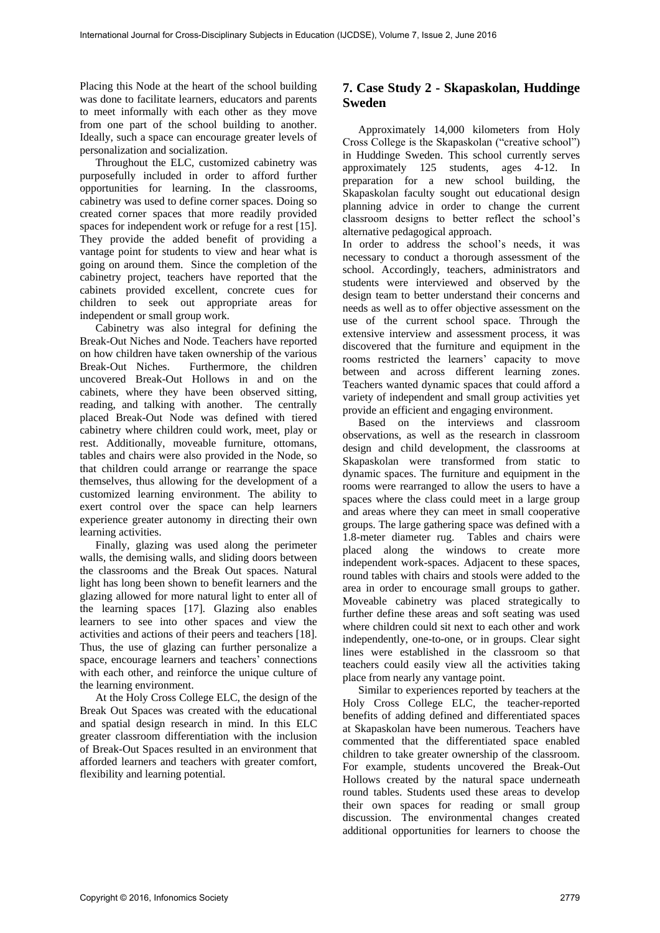Placing this Node at the heart of the school building was done to facilitate learners, educators and parents to meet informally with each other as they move from one part of the school building to another. Ideally, such a space can encourage greater levels of personalization and socialization.

Throughout the ELC, customized cabinetry was purposefully included in order to afford further opportunities for learning. In the classrooms, cabinetry was used to define corner spaces. Doing so created corner spaces that more readily provided spaces for independent work or refuge for a rest [15]. They provide the added benefit of providing a vantage point for students to view and hear what is going on around them. Since the completion of the cabinetry project, teachers have reported that the cabinets provided excellent, concrete cues for children to seek out appropriate areas for independent or small group work.

Cabinetry was also integral for defining the Break-Out Niches and Node. Teachers have reported on how children have taken ownership of the various Break-Out Niches. Furthermore, the children uncovered Break-Out Hollows in and on the cabinets, where they have been observed sitting, reading, and talking with another. The centrally placed Break-Out Node was defined with tiered cabinetry where children could work, meet, play or rest. Additionally, moveable furniture, ottomans, tables and chairs were also provided in the Node, so that children could arrange or rearrange the space themselves, thus allowing for the development of a customized learning environment. The ability to exert control over the space can help learners experience greater autonomy in directing their own learning activities.

Finally, glazing was used along the perimeter walls, the demising walls, and sliding doors between the classrooms and the Break Out spaces. Natural light has long been shown to benefit learners and the glazing allowed for more natural light to enter all of the learning spaces [17]. Glazing also enables learners to see into other spaces and view the activities and actions of their peers and teachers [18]. Thus, the use of glazing can further personalize a space, encourage learners and teachers' connections with each other, and reinforce the unique culture of the learning environment.

At the Holy Cross College ELC, the design of the Break Out Spaces was created with the educational and spatial design research in mind. In this ELC greater classroom differentiation with the inclusion of Break-Out Spaces resulted in an environment that afforded learners and teachers with greater comfort, flexibility and learning potential.

## **7. Case Study 2 - Skapaskolan, Huddinge Sweden**

Approximately 14,000 kilometers from Holy Cross College is the Skapaskolan ("creative school") in Huddinge Sweden. This school currently serves approximately 125 students, ages 4-12. In preparation for a new school building, the Skapaskolan faculty sought out educational design planning advice in order to change the current classroom designs to better reflect the school's alternative pedagogical approach.

In order to address the school's needs, it was necessary to conduct a thorough assessment of the school. Accordingly, teachers, administrators and students were interviewed and observed by the design team to better understand their concerns and needs as well as to offer objective assessment on the use of the current school space. Through the extensive interview and assessment process, it was discovered that the furniture and equipment in the rooms restricted the learners' capacity to move between and across different learning zones. Teachers wanted dynamic spaces that could afford a variety of independent and small group activities yet provide an efficient and engaging environment.

Based on the interviews and classroom observations, as well as the research in classroom design and child development, the classrooms at Skapaskolan were transformed from static to dynamic spaces. The furniture and equipment in the rooms were rearranged to allow the users to have a spaces where the class could meet in a large group and areas where they can meet in small cooperative groups. The large gathering space was defined with a 1.8-meter diameter rug. Tables and chairs were placed along the windows to create more independent work-spaces. Adjacent to these spaces, round tables with chairs and stools were added to the area in order to encourage small groups to gather. Moveable cabinetry was placed strategically to further define these areas and soft seating was used where children could sit next to each other and work independently, one-to-one, or in groups. Clear sight lines were established in the classroom so that teachers could easily view all the activities taking place from nearly any vantage point.

Similar to experiences reported by teachers at the Holy Cross College ELC, the teacher-reported benefits of adding defined and differentiated spaces at Skapaskolan have been numerous. Teachers have commented that the differentiated space enabled children to take greater ownership of the classroom. For example, students uncovered the Break-Out Hollows created by the natural space underneath round tables. Students used these areas to develop their own spaces for reading or small group discussion. The environmental changes created additional opportunities for learners to choose the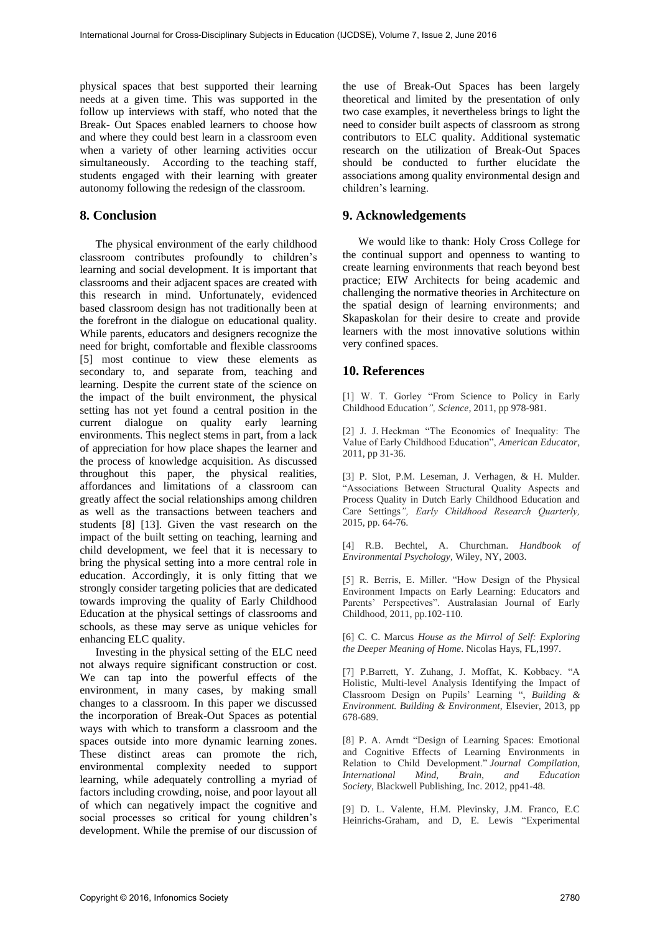physical spaces that best supported their learning needs at a given time. This was supported in the follow up interviews with staff, who noted that the Break- Out Spaces enabled learners to choose how and where they could best learn in a classroom even when a variety of other learning activities occur simultaneously. According to the teaching staff, students engaged with their learning with greater autonomy following the redesign of the classroom.

#### **8. Conclusion**

The physical environment of the early childhood classroom contributes profoundly to children's learning and social development. It is important that classrooms and their adjacent spaces are created with this research in mind. Unfortunately, evidenced based classroom design has not traditionally been at the forefront in the dialogue on educational quality. While parents, educators and designers recognize the need for bright, comfortable and flexible classrooms [5] most continue to view these elements as secondary to, and separate from, teaching and learning. Despite the current state of the science on the impact of the built environment, the physical setting has not yet found a central position in the current dialogue on quality early learning environments. This neglect stems in part, from a lack of appreciation for how place shapes the learner and the process of knowledge acquisition. As discussed throughout this paper, the physical realities, affordances and limitations of a classroom can greatly affect the social relationships among children as well as the transactions between teachers and students [8] [13]. Given the vast research on the impact of the built setting on teaching, learning and child development, we feel that it is necessary to bring the physical setting into a more central role in education. Accordingly, it is only fitting that we strongly consider targeting policies that are dedicated towards improving the quality of Early Childhood Education at the physical settings of classrooms and schools, as these may serve as unique vehicles for enhancing ELC quality.

Investing in the physical setting of the ELC need not always require significant construction or cost. We can tap into the powerful effects of the environment, in many cases, by making small changes to a classroom. In this paper we discussed the incorporation of Break-Out Spaces as potential ways with which to transform a classroom and the spaces outside into more dynamic learning zones. These distinct areas can promote the rich, environmental complexity needed to support learning, while adequately controlling a myriad of factors including crowding, noise, and poor layout all of which can negatively impact the cognitive and social processes so critical for young children's development. While the premise of our discussion of

the use of Break-Out Spaces has been largely theoretical and limited by the presentation of only two case examples, it nevertheless brings to light the need to consider built aspects of classroom as strong contributors to ELC quality. Additional systematic research on the utilization of Break-Out Spaces should be conducted to further elucidate the associations among quality environmental design and children's learning.

## **9. Acknowledgements**

We would like to thank: Holy Cross College for the continual support and openness to wanting to create learning environments that reach beyond best practice; EIW Architects for being academic and challenging the normative theories in Architecture on the spatial design of learning environments; and Skapaskolan for their desire to create and provide learners with the most innovative solutions within very confined spaces.

#### **10. References**

[1] W. T. Gorley "From Science to Policy in Early Childhood Education*", Science,* 2011, pp 978-981.

[2] J. J. Heckman "The Economics of Inequality: The Value of Early Childhood Education", *American Educator,* 2011, pp 31-36.

[3] P. Slot, P.M. Leseman, J. Verhagen, & H. Mulder. "Associations Between Structural Quality Aspects and Process Quality in Dutch Early Childhood Education and Care Settings*", Early Childhood Research Quarterly,* 2015, pp. 64-76.

[4] R.B. Bechtel, A. Churchman. *Handbook of Environmental Psychology,* Wiley, NY, 2003.

[5] R. Berris, E. Miller. "How Design of the Physical Environment Impacts on Early Learning: Educators and Parents' Perspectives". Australasian Journal of Early Childhood, 2011, pp.102-110.

[6] C. C. Marcus *House as the Mirrol of Self: Exploring the Deeper Meaning of Home*. Nicolas Hays, FL,1997.

[7] P.Barrett, Y. Zuhang, J. Moffat, K. Kobbacy. "A Holistic, Multi-level Analysis Identifying the Impact of Classroom Design on Pupils' Learning ", *Building & Environment. Building & Environment*, Elsevier, 2013, pp 678-689.

[8] P. A. Arndt "Design of Learning Spaces: Emotional and Cognitive Effects of Learning Environments in Relation to Child Development." *Journal Compilation, International Mind, Brain, and Education Society,* Blackwell Publishing, Inc. 2012, pp41-48.

[9] D. L. Valente, H.M. Plevinsky, J.M. Franco, E.C Heinrichs-Graham, and D, E. Lewis "Experimental